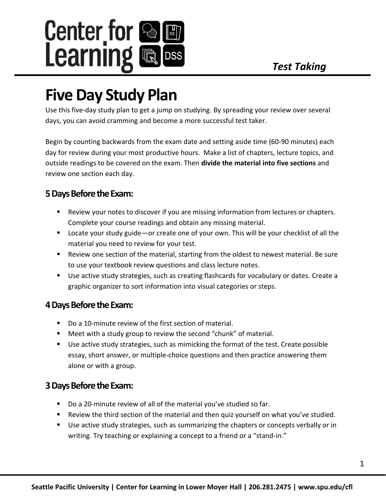

# **Five Day Study Plan**

Use this five-day study plan to get a jump on studying. By spreading your review over several days, you can avoid cramming and become a more successful test taker.

Begin by counting backwards from the exam date and setting aside time (60-90 minutes) each day for review during your most productive hours. Make a list of chapters, lecture topics, and outside readings to be covered on the exam. Then **divide the material into five sections** and review one section each day.

## **5 Days Before the Exam:**

- Review your notes to discover if you are missing information from lectures or chapters. Complete your course readings and obtain any missing material.
- Locate your study guide—or create one of your own. This will be your checklist of all the material you need to review for your test.
- Review one section of the material, starting from the oldest to newest material. Be sure to use your textbook review questions and class lecture notes.
- Use active study strategies, such as creating flashcards for vocabulary or dates. Create a graphic organizer to sort information into visual categories or steps.

## **4 Days Before the Exam:**

- Do a 10-minute review of the first section of material.
- Meet with a study group to review the second "chunk" of material.
- Use active study strategies, such as mimicking the format of the test. Create possible essay, short answer, or multiple-choice questions and then practice answering them alone or with a group.

## **3 Days Before the Exam:**

- Do a 20-minute review of all of the material you've studied so far.
- Review the third section of the material and then quiz yourself on what you've studied.
- Use active study strategies, such as summarizing the chapters or concepts verbally or in writing. Try teaching or explaining a concept to a friend or a "stand-in."